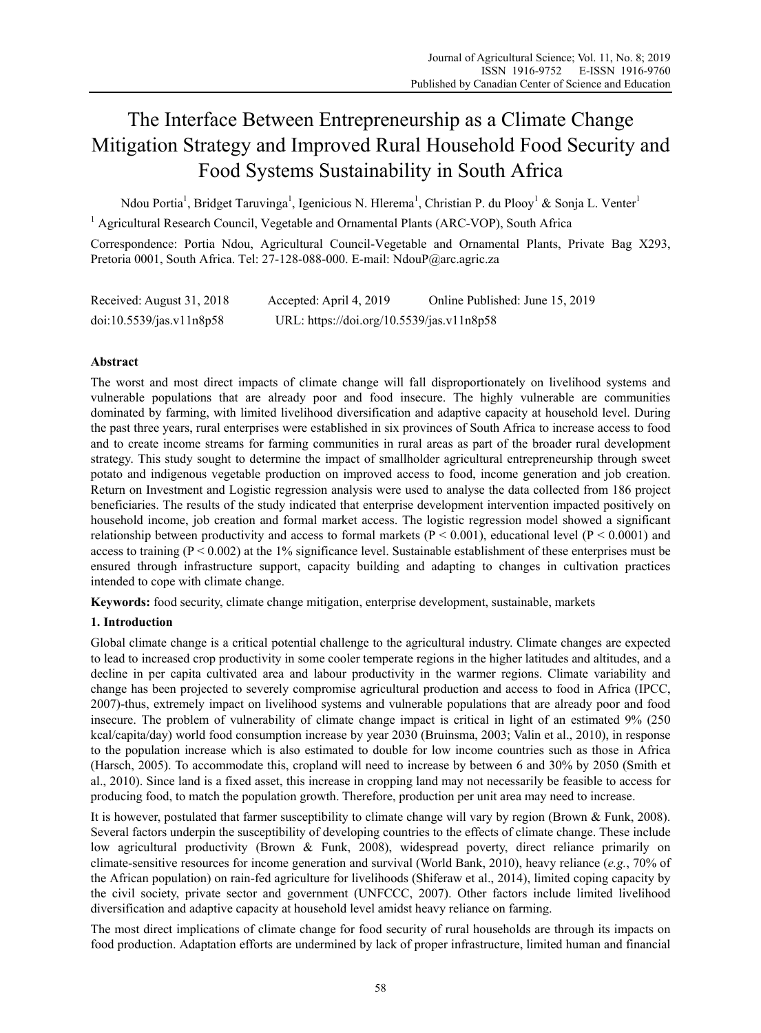# The Interface Between Entrepreneurship as a Climate Change Mitigation Strategy and Improved Rural Household Food Security and Food Systems Sustainability in South Africa

Ndou Portia<sup>1</sup>, Bridget Taruvinga<sup>1</sup>, Igenicious N. Hlerema<sup>1</sup>, Christian P. du Plooy<sup>1</sup> & Sonja L. Venter<sup>1</sup>

<sup>1</sup> Agricultural Research Council, Vegetable and Ornamental Plants (ARC-VOP), South Africa

Correspondence: Portia Ndou, Agricultural Council-Vegetable and Ornamental Plants, Private Bag X293, Pretoria 0001, South Africa. Tel: 27-128-088-000. E-mail: NdouP@arc.agric.za

| Received: August 31, 2018 | Accepted: April 4, 2019                   | Online Published: June 15, 2019 |
|---------------------------|-------------------------------------------|---------------------------------|
| doi:10.5539/jas.v11n8p58  | URL: https://doi.org/10.5539/jas.v11n8p58 |                                 |

# **Abstract**

The worst and most direct impacts of climate change will fall disproportionately on livelihood systems and vulnerable populations that are already poor and food insecure. The highly vulnerable are communities dominated by farming, with limited livelihood diversification and adaptive capacity at household level. During the past three years, rural enterprises were established in six provinces of South Africa to increase access to food and to create income streams for farming communities in rural areas as part of the broader rural development strategy. This study sought to determine the impact of smallholder agricultural entrepreneurship through sweet potato and indigenous vegetable production on improved access to food, income generation and job creation. Return on Investment and Logistic regression analysis were used to analyse the data collected from 186 project beneficiaries. The results of the study indicated that enterprise development intervention impacted positively on household income, job creation and formal market access. The logistic regression model showed a significant relationship between productivity and access to formal markets ( $P < 0.001$ ), educational level ( $P < 0.0001$ ) and access to training ( $P < 0.002$ ) at the 1% significance level. Sustainable establishment of these enterprises must be ensured through infrastructure support, capacity building and adapting to changes in cultivation practices intended to cope with climate change.

**Keywords:** food security, climate change mitigation, enterprise development, sustainable, markets

## **1. Introduction**

Global climate change is a critical potential challenge to the agricultural industry. Climate changes are expected to lead to increased crop productivity in some cooler temperate regions in the higher latitudes and altitudes, and a decline in per capita cultivated area and labour productivity in the warmer regions. Climate variability and change has been projected to severely compromise agricultural production and access to food in Africa (IPCC, 2007)-thus, extremely impact on livelihood systems and vulnerable populations that are already poor and food insecure. The problem of vulnerability of climate change impact is critical in light of an estimated 9% (250 kcal/capita/day) world food consumption increase by year 2030 (Bruinsma, 2003; Valin et al., 2010), in response to the population increase which is also estimated to double for low income countries such as those in Africa (Harsch, 2005). To accommodate this, cropland will need to increase by between 6 and 30% by 2050 (Smith et al., 2010). Since land is a fixed asset, this increase in cropping land may not necessarily be feasible to access for producing food, to match the population growth. Therefore, production per unit area may need to increase.

It is however, postulated that farmer susceptibility to climate change will vary by region (Brown & Funk, 2008). Several factors underpin the susceptibility of developing countries to the effects of climate change. These include low agricultural productivity (Brown & Funk, 2008), widespread poverty, direct reliance primarily on climate-sensitive resources for income generation and survival (World Bank, 2010), heavy reliance (*e.g.*, 70% of the African population) on rain-fed agriculture for livelihoods (Shiferaw et al., 2014), limited coping capacity by the civil society, private sector and government (UNFCCC, 2007). Other factors include limited livelihood diversification and adaptive capacity at household level amidst heavy reliance on farming.

The most direct implications of climate change for food security of rural households are through its impacts on food production. Adaptation efforts are undermined by lack of proper infrastructure, limited human and financial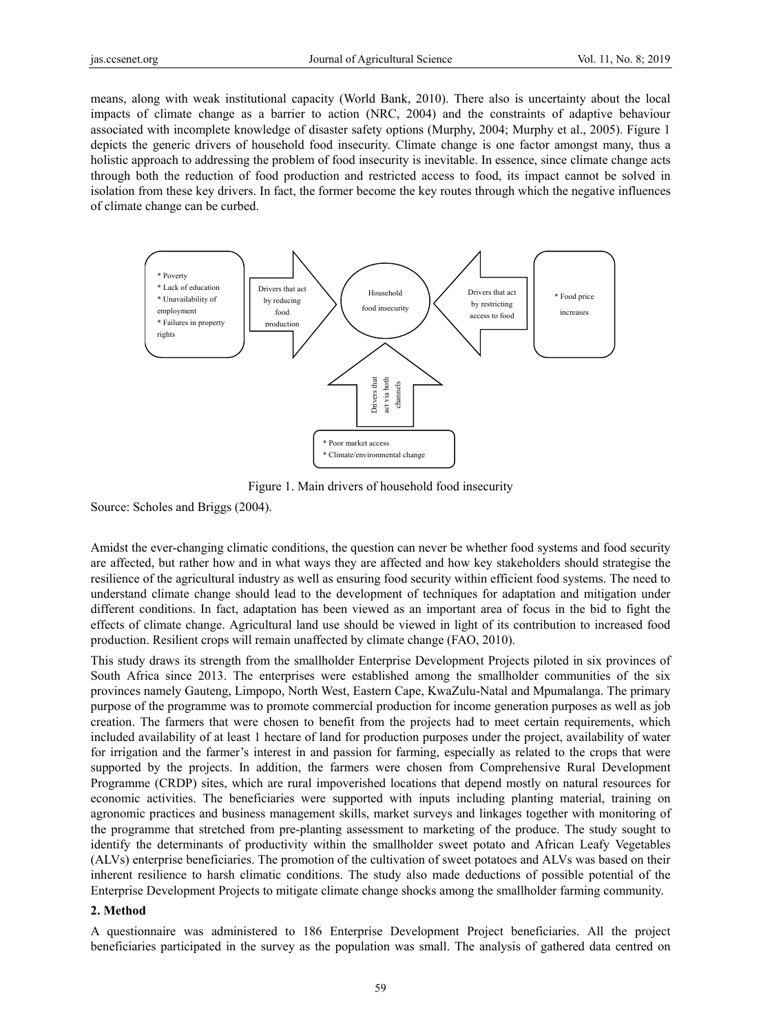means, along with weak institutional capacity (World Bank, 2010). There also is uncertainty about the local impacts of climate change as a barrier to action (NRC, 2004) and the constraints of adaptive behaviour associated with incomplete knowledge of disaster safety options (Murphy, 2004; Murphy et al., 2005). Figure 1 depicts the generic drivers of household food insecurity. Climate change is one factor amongst many, thus a holistic approach to addressing the problem of food insecurity is inevitable. In essence, since climate change acts through both the reduction of food production and restricted access to food, its impact cannot be solved in isolation from these key drivers. In fact, the former become the key routes through which the negative influences of climate change can be curbed.



Figure 1. Main drivers of household food insecurity

Source: Scholes and Briggs (2004).

Amidst the ever-changing climatic conditions, the question can never be whether food systems and food security are affected, but rather how and in what ways they are affected and how key stakeholders should strategise the resilience of the agricultural industry as well as ensuring food security within efficient food systems. The need to understand climate change should lead to the development of techniques for adaptation and mitigation under different conditions. In fact, adaptation has been viewed as an important area of focus in the bid to fight the effects of climate change. Agricultural land use should be viewed in light of its contribution to increased food production. Resilient crops will remain unaffected by climate change (FAO, 2010).

This study draws its strength from the smallholder Enterprise Development Projects piloted in six provinces of South Africa since 2013. The enterprises were established among the smallholder communities of the six provinces namely Gauteng, Limpopo, North West, Eastern Cape, KwaZulu-Natal and Mpumalanga. The primary purpose of the programme was to promote commercial production for income generation purposes as well as job creation. The farmers that were chosen to benefit from the projects had to meet certain requirements, which included availability of at least 1 hectare of land for production purposes under the project, availability of water for irrigation and the farmer's interest in and passion for farming, especially as related to the crops that were supported by the projects. In addition, the farmers were chosen from Comprehensive Rural Development Programme (CRDP) sites, which are rural impoverished locations that depend mostly on natural resources for economic activities. The beneficiaries were supported with inputs including planting material, training on agronomic practices and business management skills, market surveys and linkages together with monitoring of the programme that stretched from pre-planting assessment to marketing of the produce. The study sought to identify the determinants of productivity within the smallholder sweet potato and African Leafy Vegetables (ALVs) enterprise beneficiaries. The promotion of the cultivation of sweet potatoes and ALVs was based on their inherent resilience to harsh climatic conditions. The study also made deductions of possible potential of the Enterprise Development Projects to mitigate climate change shocks among the smallholder farming community.

#### **2. Method**

A questionnaire was administered to 186 Enterprise Development Project beneficiaries. All the project beneficiaries participated in the survey as the population was small. The analysis of gathered data centred on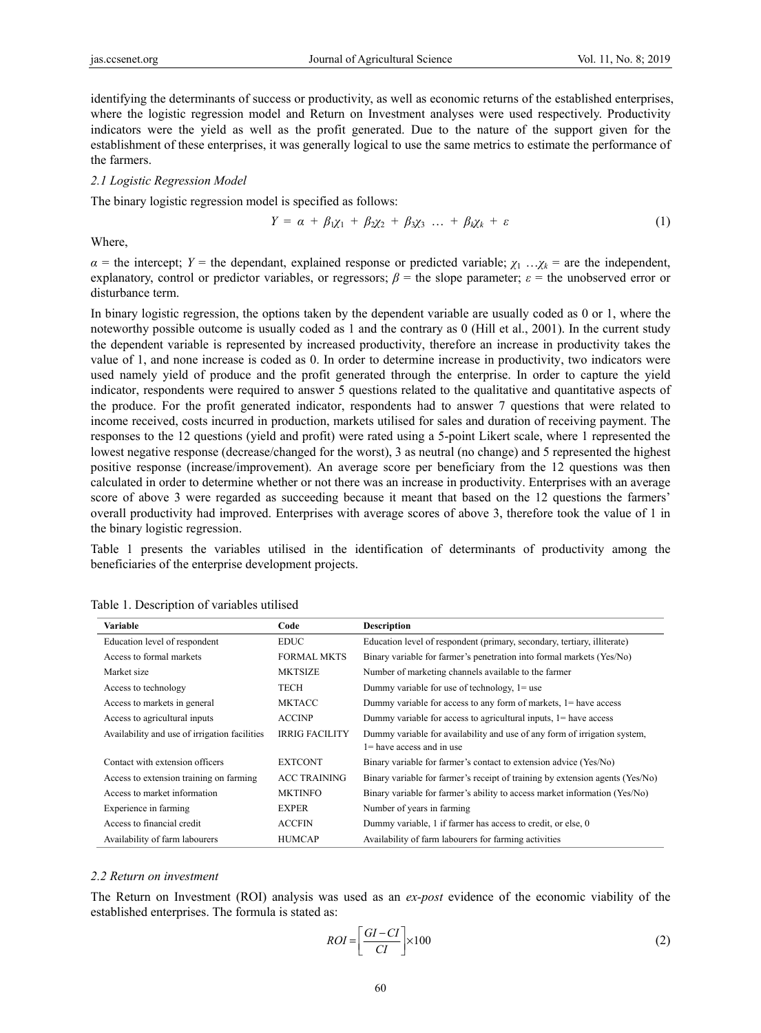identifying the determinants of success or productivity, as well as economic returns of the established enterprises, where the logistic regression model and Return on Investment analyses were used respectively. Productivity indicators were the yield as well as the profit generated. Due to the nature of the support given for the establishment of these enterprises, it was generally logical to use the same metrics to estimate the performance of the farmers.

#### *2.1 Logistic Regression Model*

The binary logistic regression model is specified as follows:

$$
Y = \alpha + \beta_1 \chi_1 + \beta_2 \chi_2 + \beta_3 \chi_3 \ldots + \beta_k \chi_k + \varepsilon \tag{1}
$$

Where,

*α* = the intercept; *Y* = the dependant, explained response or predicted variable;  $\chi_1 \ldots \chi_k$  = are the independent, explanatory, control or predictor variables, or regressors;  $\beta$  = the slope parameter;  $\varepsilon$  = the unobserved error or disturbance term.

In binary logistic regression, the options taken by the dependent variable are usually coded as 0 or 1, where the noteworthy possible outcome is usually coded as 1 and the contrary as 0 (Hill et al., 2001). In the current study the dependent variable is represented by increased productivity, therefore an increase in productivity takes the value of 1, and none increase is coded as 0. In order to determine increase in productivity, two indicators were used namely yield of produce and the profit generated through the enterprise. In order to capture the yield indicator, respondents were required to answer 5 questions related to the qualitative and quantitative aspects of the produce. For the profit generated indicator, respondents had to answer 7 questions that were related to income received, costs incurred in production, markets utilised for sales and duration of receiving payment. The responses to the 12 questions (yield and profit) were rated using a 5-point Likert scale, where 1 represented the lowest negative response (decrease/changed for the worst), 3 as neutral (no change) and 5 represented the highest positive response (increase/improvement). An average score per beneficiary from the 12 questions was then calculated in order to determine whether or not there was an increase in productivity. Enterprises with an average score of above 3 were regarded as succeeding because it meant that based on the 12 questions the farmers' overall productivity had improved. Enterprises with average scores of above 3, therefore took the value of 1 in the binary logistic regression.

Table 1 presents the variables utilised in the identification of determinants of productivity among the beneficiaries of the enterprise development projects.

| Variable                                      | Code                  | <b>Description</b>                                                            |
|-----------------------------------------------|-----------------------|-------------------------------------------------------------------------------|
| Education level of respondent                 | <b>EDUC</b>           | Education level of respondent (primary, secondary, tertiary, illiterate)      |
| Access to formal markets                      | <b>FORMAL MKTS</b>    | Binary variable for farmer's penetration into formal markets (Yes/No)         |
| Market size                                   | <b>MKTSIZE</b>        | Number of marketing channels available to the farmer                          |
| Access to technology                          | TECH                  | Dummy variable for use of technology, $1 =$ use                               |
| Access to markets in general                  | <b>MKTACC</b>         | Dummy variable for access to any form of markets, $l$ = have access           |
| Access to agricultural inputs                 | <b>ACCINP</b>         | Dummy variable for access to agricultural inputs, $1 =$ have access           |
| Availability and use of irrigation facilities | <b>IRRIG FACILITY</b> | Dummy variable for availability and use of any form of irrigation system,     |
|                                               |                       | $l$ = have access and in use                                                  |
| Contact with extension officers               | <b>EXTCONT</b>        | Binary variable for farmer's contact to extension advice (Yes/No)             |
| Access to extension training on farming       | <b>ACC TRAINING</b>   | Binary variable for farmer's receipt of training by extension agents (Yes/No) |
| Access to market information                  | <b>MKTINFO</b>        | Binary variable for farmer's ability to access market information (Yes/No)    |
| Experience in farming                         | <b>EXPER</b>          | Number of years in farming                                                    |
| Access to financial credit                    | <b>ACCFIN</b>         | Dummy variable, 1 if farmer has access to credit, or else, 0                  |
| Availability of farm labourers                | <b>HUMCAP</b>         | Availability of farm labourers for farming activities                         |

|  |  | Table 1. Description of variables utilised |  |  |
|--|--|--------------------------------------------|--|--|
|--|--|--------------------------------------------|--|--|

#### *2.2 Return on investment*

The Return on Investment (ROI) analysis was used as an *ex-post* evidence of the economic viability of the established enterprises. The formula is stated as:

$$
ROI = \left[\frac{GI - CI}{CI}\right] \times 100\tag{2}
$$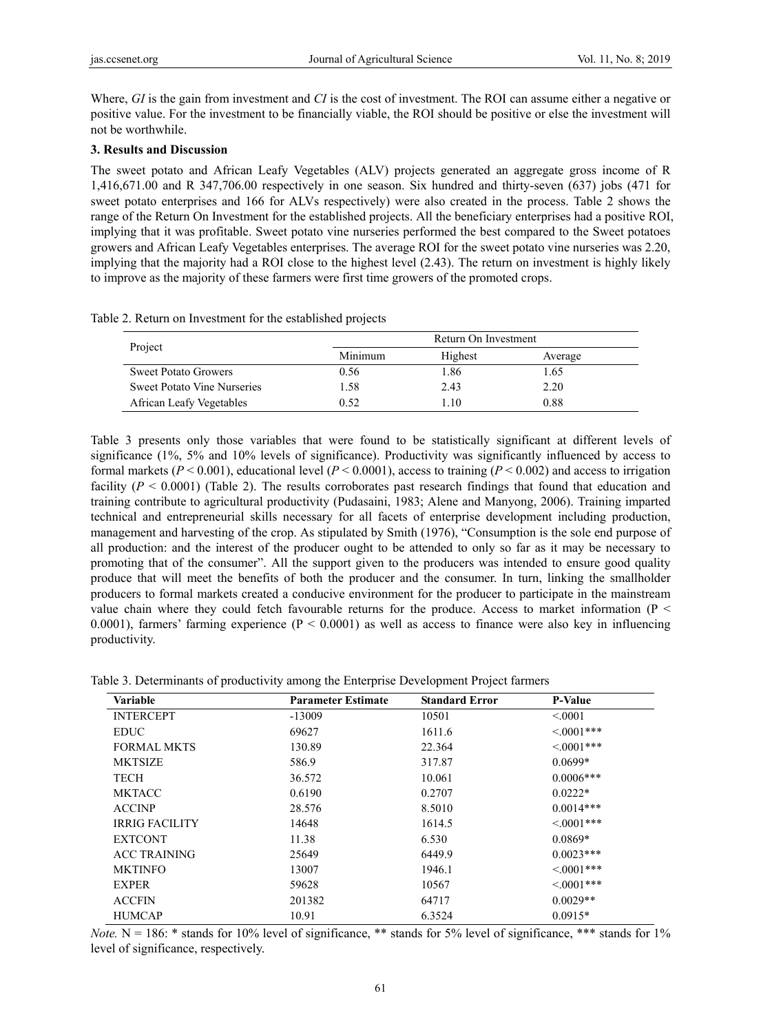Where, *GI* is the gain from investment and *CI* is the cost of investment. The ROI can assume either a negative or positive value. For the investment to be financially viable, the ROI should be positive or else the investment will not be worthwhile.

## **3. Results and Discussion**

The sweet potato and African Leafy Vegetables (ALV) projects generated an aggregate gross income of R 1,416,671.00 and R 347,706.00 respectively in one season. Six hundred and thirty-seven (637) jobs (471 for sweet potato enterprises and 166 for ALVs respectively) were also created in the process. Table 2 shows the range of the Return On Investment for the established projects. All the beneficiary enterprises had a positive ROI, implying that it was profitable. Sweet potato vine nurseries performed the best compared to the Sweet potatoes growers and African Leafy Vegetables enterprises. The average ROI for the sweet potato vine nurseries was 2.20, implying that the majority had a ROI close to the highest level (2.43). The return on investment is highly likely to improve as the majority of these farmers were first time growers of the promoted crops.

Table 2. Return on Investment for the established projects

|                                    |         | Return On Investment |         |
|------------------------------------|---------|----------------------|---------|
| Project                            | Minimum | Highest              | Average |
| <b>Sweet Potato Growers</b>        | 0.56    | 1.86                 | 1.65    |
| <b>Sweet Potato Vine Nurseries</b> | 1.58    | 2.43                 | 2.20    |
| African Leafy Vegetables           | 0.52    | .10                  | 0.88    |

Table 3 presents only those variables that were found to be statistically significant at different levels of significance (1%, 5% and 10% levels of significance). Productivity was significantly influenced by access to formal markets ( $P < 0.001$ ), educational level ( $P < 0.0001$ ), access to training ( $P < 0.002$ ) and access to irrigation facility ( $P \le 0.0001$ ) (Table 2). The results corroborates past research findings that found that education and training contribute to agricultural productivity (Pudasaini, 1983; Alene and Manyong, 2006). Training imparted technical and entrepreneurial skills necessary for all facets of enterprise development including production, management and harvesting of the crop. As stipulated by Smith (1976), "Consumption is the sole end purpose of all production: and the interest of the producer ought to be attended to only so far as it may be necessary to promoting that of the consumer". All the support given to the producers was intended to ensure good quality produce that will meet the benefits of both the producer and the consumer. In turn, linking the smallholder producers to formal markets created a conducive environment for the producer to participate in the mainstream value chain where they could fetch favourable returns for the produce. Access to market information ( $P \le$ 0.0001), farmers' farming experience ( $P < 0.0001$ ) as well as access to finance were also key in influencing productivity.

|  |  |  |  | Table 3. Determinants of productivity among the Enterprise Development Project farmers |
|--|--|--|--|----------------------------------------------------------------------------------------|
|--|--|--|--|----------------------------------------------------------------------------------------|

| <b>Variable</b>       | <b>Parameter Estimate</b> | <b>Standard Error</b> | <b>P-Value</b>  |
|-----------------------|---------------------------|-----------------------|-----------------|
| <b>INTERCEPT</b>      | $-13009$                  | 10501                 | < 0.001         |
| <b>EDUC</b>           | 69627                     | 1611.6                | $<0001***$      |
| <b>FORMAL MKTS</b>    | 130.89                    | 22.364                | $<0001***$      |
| <b>MKTSIZE</b>        | 586.9                     | 317.87                | $0.0699*$       |
| <b>TECH</b>           | 36.572                    | 10.061                | $0.0006***$     |
| <b>MKTACC</b>         | 0.6190                    | 0.2707                | $0.0222*$       |
| <b>ACCINP</b>         | 28.576                    | 8.5010                | $0.0014***$     |
| <b>IRRIG FACILITY</b> | 14648                     | 1614.5                | $<0001***$      |
| <b>EXTCONT</b>        | 11.38                     | 6.530                 | $0.0869*$       |
| <b>ACC TRAINING</b>   | 25649                     | 6449.9                | $0.0023***$     |
| <b>MKTINFO</b>        | 13007                     | 1946.1                | $<0001***$      |
| <b>EXPER</b>          | 59628                     | 10567                 | $\leq 0.001***$ |
| <b>ACCFIN</b>         | 201382                    | 64717                 | $0.0029**$      |
| <b>HUMCAP</b>         | 10.91                     | 6.3524                | $0.0915*$       |

*Note.* N = 186: \* stands for 10% level of significance, \*\* stands for 5% level of significance, \*\*\* stands for  $1\%$ level of significance, respectively.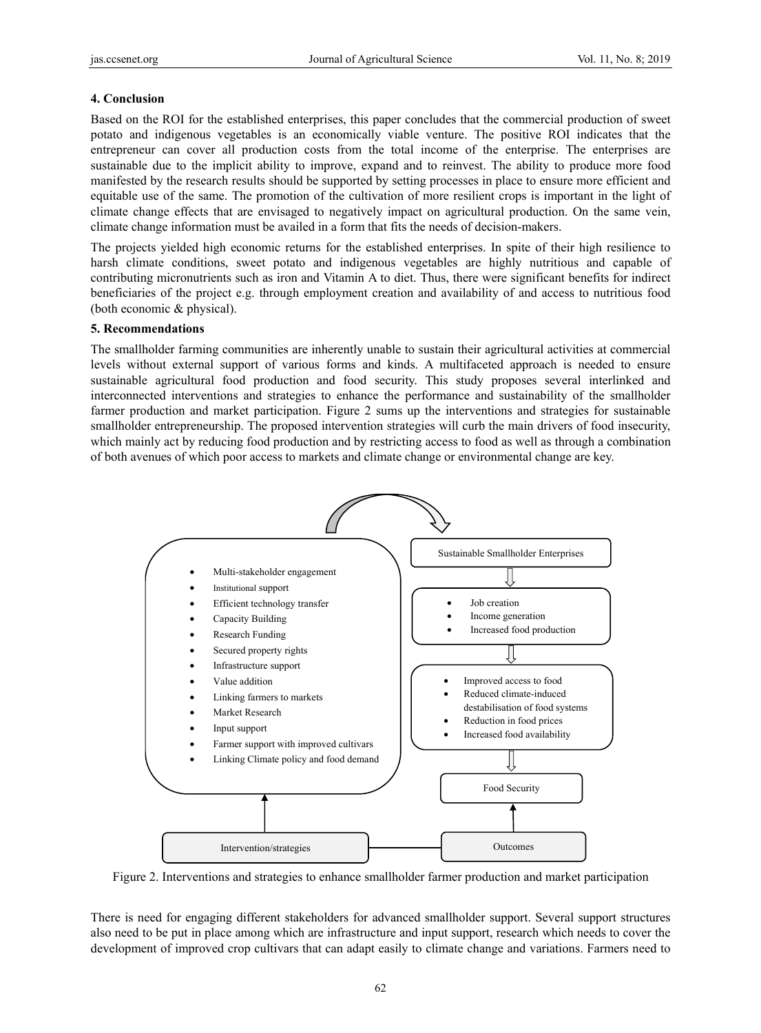## **4. Conclusion**

Based on the ROI for the established enterprises, this paper concludes that the commercial production of sweet potato and indigenous vegetables is an economically viable venture. The positive ROI indicates that the entrepreneur can cover all production costs from the total income of the enterprise. The enterprises are sustainable due to the implicit ability to improve, expand and to reinvest. The ability to produce more food manifested by the research results should be supported by setting processes in place to ensure more efficient and equitable use of the same. The promotion of the cultivation of more resilient crops is important in the light of climate change effects that are envisaged to negatively impact on agricultural production. On the same vein, climate change information must be availed in a form that fits the needs of decision-makers.

The projects yielded high economic returns for the established enterprises. In spite of their high resilience to harsh climate conditions, sweet potato and indigenous vegetables are highly nutritious and capable of contributing micronutrients such as iron and Vitamin A to diet. Thus, there were significant benefits for indirect beneficiaries of the project e.g. through employment creation and availability of and access to nutritious food (both economic & physical).

### **5. Recommendations**

The smallholder farming communities are inherently unable to sustain their agricultural activities at commercial levels without external support of various forms and kinds. A multifaceted approach is needed to ensure sustainable agricultural food production and food security. This study proposes several interlinked and interconnected interventions and strategies to enhance the performance and sustainability of the smallholder farmer production and market participation. Figure 2 sums up the interventions and strategies for sustainable smallholder entrepreneurship. The proposed intervention strategies will curb the main drivers of food insecurity, which mainly act by reducing food production and by restricting access to food as well as through a combination of both avenues of which poor access to markets and climate change or environmental change are key.



Figure 2. Interventions and strategies to enhance smallholder farmer production and market participation

There is need for engaging different stakeholders for advanced smallholder support. Several support structures also need to be put in place among which are infrastructure and input support, research which needs to cover the development of improved crop cultivars that can adapt easily to climate change and variations. Farmers need to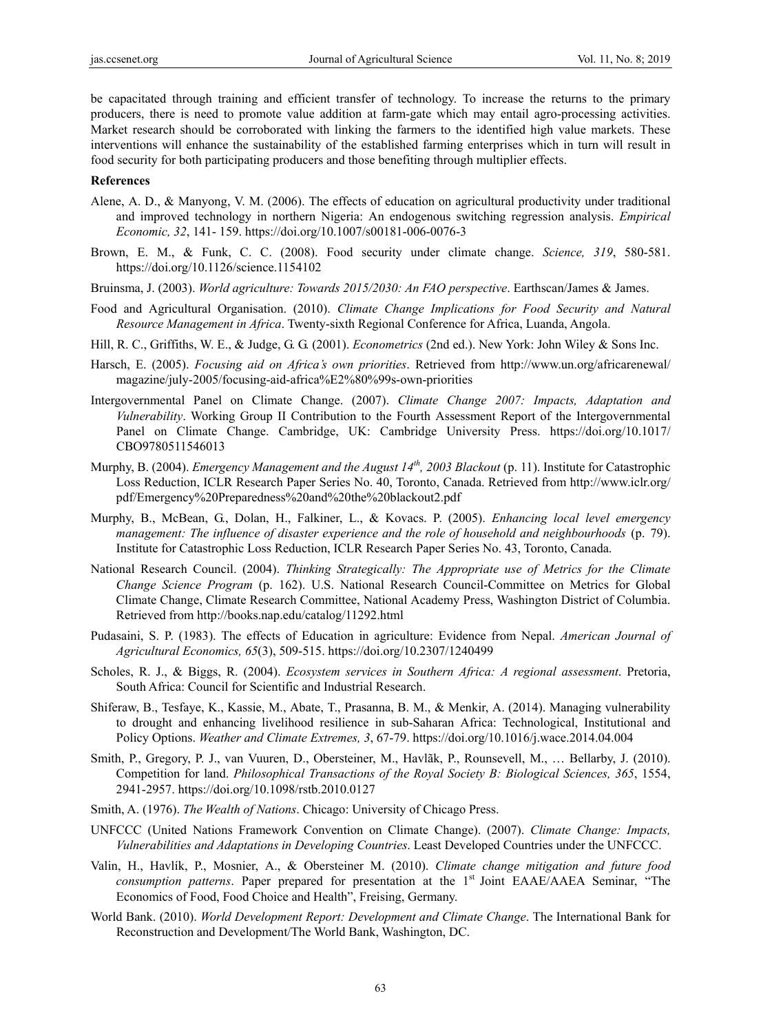be capacitated through training and efficient transfer of technology. To increase the returns to the primary producers, there is need to promote value addition at farm-gate which may entail agro-processing activities. Market research should be corroborated with linking the farmers to the identified high value markets. These interventions will enhance the sustainability of the established farming enterprises which in turn will result in food security for both participating producers and those benefiting through multiplier effects.

#### **References**

- Alene, A. D., & Manyong, V. M. (2006). The effects of education on agricultural productivity under traditional and improved technology in northern Nigeria: An endogenous switching regression analysis. *Empirical Economic, 32*, 141- 159. https://doi.org/10.1007/s00181-006-0076-3
- Brown, E. M., & Funk, C. C. (2008). Food security under climate change. *Science, 319*, 580-581. https://doi.org/10.1126/science.1154102
- Bruinsma, J. (2003). *World agriculture: Towards 2015/2030: An FAO perspective*. Earthscan/James & James.
- Food and Agricultural Organisation. (2010). *Climate Change Implications for Food Security and Natural Resource Management in Africa*. Twenty-sixth Regional Conference for Africa, Luanda, Angola.
- Hill, R. C., Griffiths, W. E., & Judge, G. G. (2001). *Econometrics* (2nd ed.). New York: John Wiley & Sons Inc.
- Harsch, E. (2005). *Focusing aid on Africa's own priorities*. Retrieved from http://www.un.org/africarenewal/ magazine/july-2005/focusing-aid-africa%E2%80%99s-own-priorities
- Intergovernmental Panel on Climate Change. (2007). *Climate Change 2007: Impacts, Adaptation and Vulnerability*. Working Group II Contribution to the Fourth Assessment Report of the Intergovernmental Panel on Climate Change. Cambridge, UK: Cambridge University Press. https://doi.org/10.1017/ CBO9780511546013
- Murphy, B. (2004). *Emergency Management and the August 14th, 2003 Blackout* (p. 11). Institute for Catastrophic Loss Reduction, ICLR Research Paper Series No. 40, Toronto, Canada. Retrieved from http://www.iclr.org/ pdf/Emergency%20Preparedness%20and%20the%20blackout2.pdf
- Murphy, B., McBean, G., Dolan, H., Falkiner, L., & Kovacs. P. (2005). *Enhancing local level emergency management: The influence of disaster experience and the role of household and neighbourhoods* (p. 79). Institute for Catastrophic Loss Reduction, ICLR Research Paper Series No. 43, Toronto, Canada.
- National Research Council. (2004). *Thinking Strategically: The Appropriate use of Metrics for the Climate Change Science Program* (p. 162). U.S. National Research Council-Committee on Metrics for Global Climate Change, Climate Research Committee, National Academy Press, Washington District of Columbia. Retrieved from http://books.nap.edu/catalog/11292.html
- Pudasaini, S. P. (1983). The effects of Education in agriculture: Evidence from Nepal. *American Journal of Agricultural Economics, 65*(3), 509-515. https://doi.org/10.2307/1240499
- Scholes, R. J., & Biggs, R. (2004). *Ecosystem services in Southern Africa: A regional assessment*. Pretoria, South Africa: Council for Scientific and Industrial Research.
- Shiferaw, B., Tesfaye, K., Kassie, M., Abate, T., Prasanna, B. M., & Menkir, A. (2014). Managing vulnerability to drought and enhancing livelihood resilience in sub-Saharan Africa: Technological, Institutional and Policy Options. *Weather and Climate Extremes, 3*, 67-79. https://doi.org/10.1016/j.wace.2014.04.004
- Smith, P., Gregory, P. J., van Vuuren, D., Obersteiner, M., Havlãk, P., Rounsevell, M., … Bellarby, J. (2010). Competition for land. *Philosophical Transactions of the Royal Society B: Biological Sciences, 365*, 1554, 2941-2957. https://doi.org/10.1098/rstb.2010.0127
- Smith, A. (1976). *The Wealth of Nations*. Chicago: University of Chicago Press.
- UNFCCC (United Nations Framework Convention on Climate Change). (2007). *Climate Change: Impacts, Vulnerabilities and Adaptations in Developing Countries*. Least Developed Countries under the UNFCCC.
- Valin, H., Havlík, P., Mosnier, A., & Obersteiner M. (2010). *Climate change mitigation and future food consumption patterns*. Paper prepared for presentation at the 1<sup>st</sup> Joint EAAE/AAEA Seminar, "The Economics of Food, Food Choice and Health", Freising, Germany.
- World Bank. (2010). *World Development Report: Development and Climate Change*. The International Bank for Reconstruction and Development/The World Bank, Washington, DC.